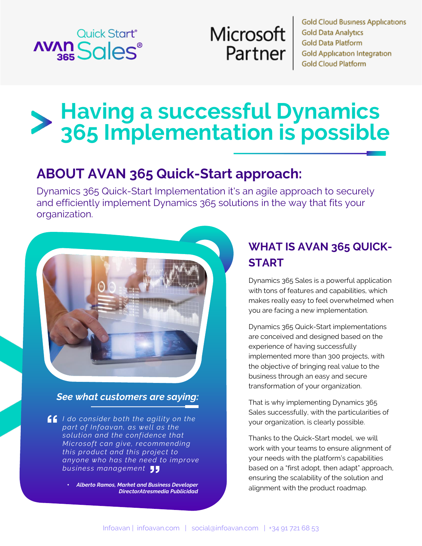

# **Microsoft** Partner

**Gold Cloud Business Applications Gold Data Analytics Gold Data Platform Gold Application Integration Gold Cloud Platform** 

# **Having a successful Dynamics 365 Implementation is possible**

# **ABOUT AVAN 365 Quick-Start approach:**

Dynamics 365 Quick-Start Implementation it's an agile approach to securely and efficiently implement Dynamics 365 solutions in the way that fits your organization.



#### *See what customers are saying:*

*I do consider both the agility on the part of Infoavan, as well as the solution and the confidence that Microsoft can give, recommending this product and this project to anyone who has the need to improve business management*

> • *Alberto Ramos, Market and Business Developer DirectorAtresmedia Publicidad*

## **WHAT IS AVAN 365 QUICK-START**

Dynamics 365 Sales is a powerful application with tons of features and capabilities, which makes really easy to feel overwhelmed when you are facing a new implementation.

Dynamics 365 Quick-Start implementations are conceived and designed based on the experience of having successfully implemented more than 300 projects, with the objective of bringing real value to the business through an easy and secure transformation of your organization.

That is why implementing Dynamics 365 Sales successfully, with the particularities of your organization, is clearly possible.

Thanks to the Quick-Start model, we will work with your teams to ensure alignment of your needs with the platform's capabilities based on a "first adopt, then adapt" approach, ensuring the scalability of the solution and alignment with the product roadmap.